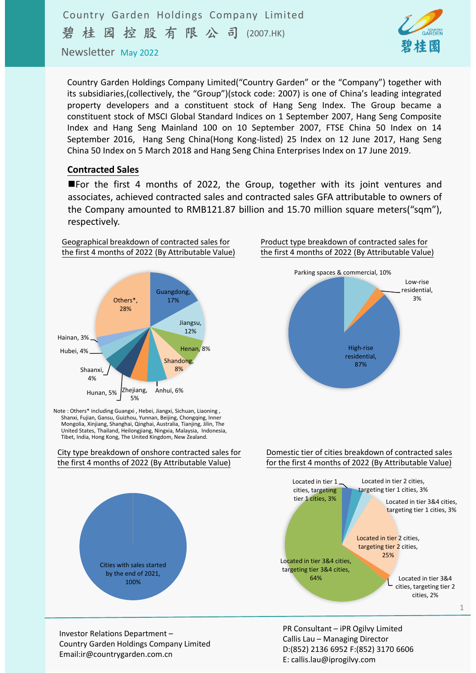

Newsletter May 2022

Country Garden Holdings Company Limited("Country Garden" or the "Company") together with its subsidiaries,(collectively, the "Group")(stock code: 2007) is one of China's leading integrated property developers and a constituent stock of Hang Seng Index. The Group became a constituent stock of MSCI Global Standard Indices on 1 September 2007, Hang Seng Composite Index and Hang Seng Mainland 100 on 10 September 2007, FTSE China 50 Index on 14 September 2016, Hang Seng China(Hong Kong‐listed) 25 Index on 12 June 2017, Hang Seng China 50 Index on 5 March 2018 and Hang Seng China Enterprises Index on 17 June 2019.

### **Contracted Sales**

**E** For the first 4 months of 2022, the Group, together with its joint ventures and associates, achieved contracted sales and contracted sales GFA attributable to owners of the Company amounted to RMB121.87 billion and 15.70 million square meters("sqm"), respectively.



Note : Others\* including Guangxi , Hebei, Jiangxi, Sichuan, Liaoning , Shanxi, Fujian, Gansu, Guizhou, Yunnan, Beijing, Chongqing, Inner Mongolia, Xinjiang, Shanghai, Qinghai, Australia, Tianjing, Jilin, The United States, Thailand, Heilongjiang, Ningxia, Malaysia, Indonesia, Tibet, India, Hong Kong, The United Kingdom, New Zealand.

City type breakdown of onshore contracted sales for the first 4 months of 2022 (By Attributable Value)



Product type breakdown of contracted sales for the first 4 months of 2022 (By Attributable Value)



#### Domestic tier of cities breakdown of contracted sales for the first 4 months of 2022 (By Attributable Value)



Investor Relations Department – Country Garden Holdings Company Limited Email:ir@countrygarden.com.cn

PR Consultant – iPR Ogilvy Limited Callis Lau – Managing Director D:(852) 2136 6952 F:(852) 3170 6606 E: callis.lau@iprogilvy.com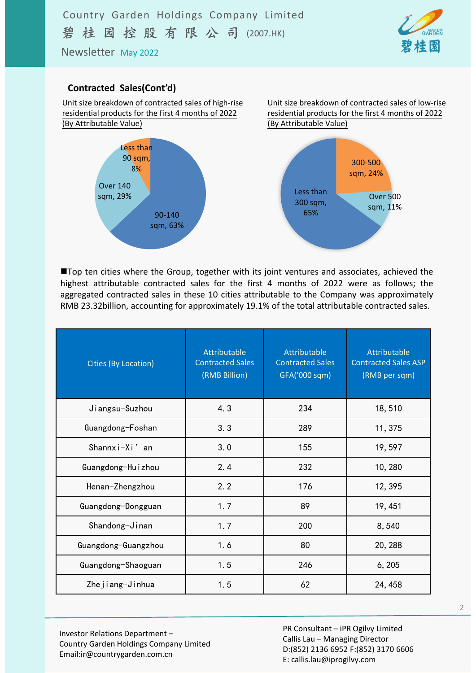Newsletter May 2022



### **Contracted Sales(Cont'd)**





Unit size breakdown of contracted sales of low‐rise residential products for the first 4 months of 2022 (By Attributable Value)



Top ten cities where the Group, together with its joint ventures and associates, achieved the highest attributable contracted sales for the first 4 months of 2022 were as follows; the aggregated contracted sales in these 10 cities attributable to the Company was approximately RMB 23.32billion, accounting for approximately 19.1% of the total attributable contracted sales.

| <b>Cities (By Location)</b> | Attributable<br><b>Contracted Sales</b><br>(RMB Billion) | Attributable<br><b>Contracted Sales</b><br>GFA('000 sqm) | Attributable<br><b>Contracted Sales ASP</b><br>(RMB per sqm) |  |
|-----------------------------|----------------------------------------------------------|----------------------------------------------------------|--------------------------------------------------------------|--|
| Jiangsu-Suzhou              | 4.3                                                      | 234                                                      | 18,510                                                       |  |
| Guangdong-Foshan            | 3.3                                                      | 289                                                      | 11, 375                                                      |  |
| Shannxi $-Xi'$ an           | 3.0                                                      | 155                                                      | 19,597                                                       |  |
| Guangdong-Huizhou           | 2.4<br>232                                               |                                                          | 10,280                                                       |  |
| Henan-Zhengzhou             | 2.2                                                      | 176                                                      | 12, 395                                                      |  |
| Guangdong-Dongguan          | 1.7                                                      | 89                                                       | 19, 451                                                      |  |
| Shandong-Jinan              | 1.7                                                      | 200                                                      | 8,540                                                        |  |
| Guangdong-Guangzhou         | 1.6                                                      | 80                                                       | 20, 288                                                      |  |
| Guangdong-Shaoguan          | 1.5                                                      | 246                                                      | 6, 205                                                       |  |
| Zhejiang-Jinhua             | 1.5                                                      | 62                                                       | 24, 458                                                      |  |

Investor Relations Department – Country Garden Holdings Company Limited Email:ir@countrygarden.com.cn

PR Consultant – iPR Ogilvy Limited Callis Lau – Managing Director D:(852) 2136 6952 F:(852) 3170 6606 E: callis.lau@iprogilvy.com

2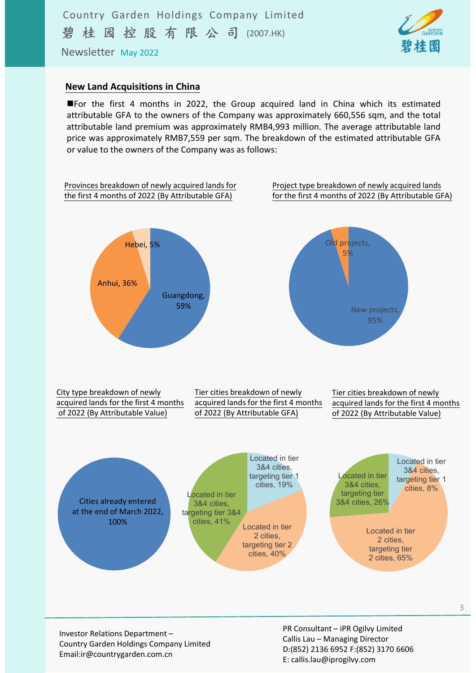Newsletter May 2022

### **New Land Acquisitions in China**

For the first 4 months in 2022, the Group acquired land in China which its estimated attributable GFA to the owners of the Company was approximately 660,556 sqm, and the total attributable land premium was approximately RMB4,993 million. The average attributable land price was approximately RMB7,559 per sqm. The breakdown of the estimated attributable GFA or value to the owners of the Company was as follows:

碧桂園



Investor Relations Department – Country Garden Holdings Company Limited Email:ir@countrygarden.com.cn

PR Consultant – iPR Ogilvy Limited Callis Lau – Managing Director D:(852) 2136 6952 F:(852) 3170 6606 E: callis.lau@iprogilvy.com